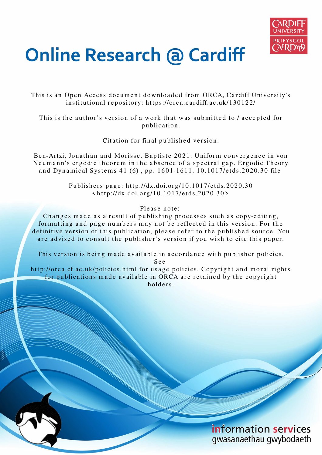

# **Online Research @ Cardiff**

This is an Open Access document downloaded from ORCA, Cardiff University's institutional repository: https://orca.cardiff.ac.uk/130122/

This is the author's version of a work that was submitted to / accepted for p u blication.

Citation for final published version:

Ben-Artzi, Jonathan and Morisse, Baptiste 2021. Uniform convergence in von Neumann's ergodic theorem in the absence of a spectral gap. Ergodic Theory and Dynamical Systems 41 (6), pp. 1601-1611. 10.1017/etds.2020.30 file

> Publishers page: http://dx.doi.org/10.1017/etds.2020.30  $\langle \text{http://dx.doi.org/10.1017/etds.2020.30>}$

> > Please note:

Changes made as a result of publishing processes such as copy-editing, formatting and page numbers may not be reflected in this version. For the definitive version of this publication, please refer to the published source. You are advised to consult the publisher's version if you wish to cite this paper.

This version is being made available in accordance with publisher policies.

S e e

http://orca.cf.ac.uk/policies.html for usage policies. Copyright and moral rights for publications made available in ORCA are retained by the copyright holders.

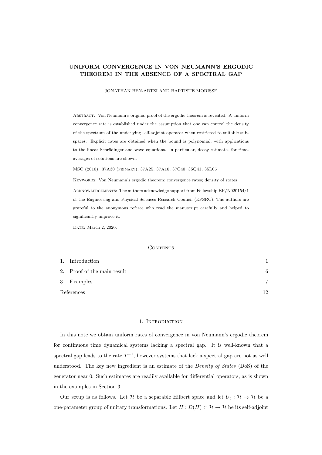## UNIFORM CONVERGENCE IN VON NEUMANN'S ERGODIC THEOREM IN THE ABSENCE OF A SPECTRAL GAP

JONATHAN BEN-ARTZI AND BAPTISTE MORISSE

ABSTRACT. Von Neumann's original proof of the ergodic theorem is revisited. A uniform convergence rate is established under the assumption that one can control the density of the spectrum of the underlying self-adjoint operator when restricted to suitable subspaces. Explicit rates are obtained when the bound is polynomial, with applications to the linear Schrödinger and wave equations. In particular, decay estimates for timeaverages of solutions are shown.

MSC (2010): 37A30 (primary); 37A25, 37A10, 37C40, 35Q41, 35L05

Keywords: Von Neumann's ergodic theorem; convergence rates; density of states ACKNOWLEDGEMENTS: The authors acknowledge support from Fellowship EP/N020154/1 of the Engineering and Physical Sciences Research Council (EPSRC). The authors are grateful to the anonymous referee who read the manuscript carefully and helped to significantly improve it.

DATE: March 2, 2020.

## CONTENTS

|            | 1. Introduction             |     |
|------------|-----------------------------|-----|
|            | 2. Proof of the main result | 6   |
|            | 3. Examples                 | 7   |
| References |                             | 1 ດ |

#### 1. INTRODUCTION

In this note we obtain uniform rates of convergence in von Neumann's ergodic theorem for continuous time dynamical systems lacking a spectral gap. It is well-known that a spectral gap leads to the rate  $T^{-1}$ , however systems that lack a spectral gap are not as well understood. The key new ingredient is an estimate of the *Density of States* (DoS) of the generator near 0. Such estimates are readily available for differential operators, as is shown in the examples in Section 3.

Our setup is as follows. Let H be a separable Hilbert space and let  $U_t : \mathcal{H} \to \mathcal{H}$  be a one-parameter group of unitary transformations. Let  $H : D(H) \subset \mathcal{H} \to \mathcal{H}$  be its self-adjoint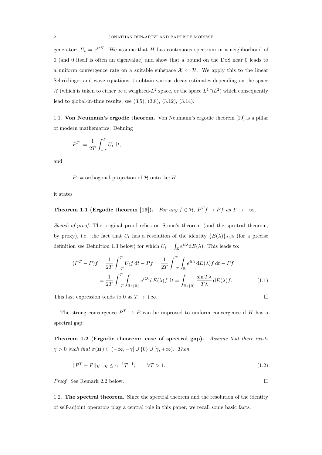generator:  $U_t = e^{itH}$ . We assume that H has continuous spectrum in a neighborhood of 0 (and 0 itself is often an eigenvalue) and show that a bound on the DoS near 0 leads to a uniform convergence rate on a suitable subspace  $\mathcal{X} \subset \mathcal{H}$ . We apply this to the linear Schrödinger and wave equations, to obtain various decay estimates depending on the space X (which is taken to either be a weighted- $L^2$  space, or the space  $L^1 \cap L^2$ ) which consequently lead to global-in-time results, see (3.5), (3.8), (3.12), (3.14).

1.1. Von Neumann's ergodic theorem. Von Neumann's ergodic theorem [19] is a pillar of modern mathematics. Defining

$$
P^T := \frac{1}{2T} \int_{-T}^T U_t \, \mathrm{d}t,
$$

and

 $P :=$  orthogonal projection of H onto ker H,

it states

Theorem 1.1 (Ergodic theorem [19]). *For any*  $f \in H$ ,  $P^T f \to P f$  *as*  $T \to +\infty$ *.* 

*Sketch of proof.* The original proof relies on Stone's theorem (and the spectral theorem, by proxy), i.e. the fact that  $U_t$  has a resolution of the identity  ${E(\lambda)}_{\lambda \in \mathbb{R}}$  (for a precise definition see Definition 1.3 below) for which  $U_t = \int_{\mathbb{R}} e^{it\lambda} dE(\lambda)$ . This leads to:

$$
(PT - P)f = \frac{1}{2T} \int_{-T}^{T} U_t f dt - Pf = \frac{1}{2T} \int_{-T}^{T} \int_{\mathbb{R}} e^{it\lambda} dE(\lambda) f dt - Pf
$$

$$
= \frac{1}{2T} \int_{-T}^{T} \int_{\mathbb{R}\setminus\{0\}} e^{it\lambda} dE(\lambda) f dt = \int_{\mathbb{R}\setminus\{0\}} \frac{\sin T\lambda}{T\lambda} dE(\lambda) f. \tag{1.1}
$$

This last expression tends to 0 as  $T \to +\infty$ .

The strong convergence  $P^T \to P$  can be improved to uniform convergence if H has a spectral gap:

Theorem 1.2 (Ergodic theorem: case of spectral gap). *Assume that there exists*  $\gamma > 0$  such that  $\sigma(H) \subset (-\infty, -\gamma] \cup \{0\} \cup [\gamma, +\infty)$ *. Then* 

$$
||P^T - P||_{\mathcal{H} \to \mathcal{H}} \le \gamma^{-1} T^{-1}, \qquad \forall T > 1.
$$
\n
$$
(1.2)
$$

*Proof.* See Remark 2.2 below. □

1.2. The spectral theorem. Since the spectral theorem and the resolution of the identity of self-adjoint operators play a central role in this paper, we recall some basic facts.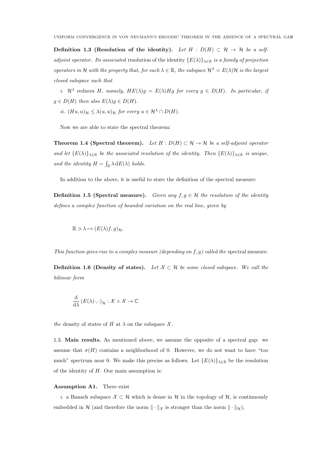Definition 1.3 (Resolution of the identity). Let  $H : D(H) \subset \mathcal{H} \to \mathcal{H}$  be a self*adjoint operator. Its associated* resolution of the identity  ${E(\lambda)}_{\lambda \in \mathbb{R}}$  *is a family of projection operators in* H *with the property that, for each*  $\lambda \in \mathbb{R}$ *, the subspace*  $\mathcal{H}^{\lambda} = E(\lambda)\mathcal{H}$  *is the largest closed subspace such that*

*i.*  $\mathcal{H}^{\lambda}$  reduces H, namely,  $HE(\lambda)g = E(\lambda)Hg$  for every  $g \in D(H)$ . In particular, if  $q \in D(H)$  *then also*  $E(\lambda)q \in D(H)$ *.* 

*ii.*  $(Hu, u)_{\mathcal{H}} \leq \lambda(u, u)_{\mathcal{H}}$  *for every*  $u \in \mathcal{H}^{\lambda} \cap D(H)$ *.* 

Now we are able to state the spectral theorem:

**Theorem 1.4 (Spectral theorem).** Let  $H : D(H) \subset \mathcal{H} \to \mathcal{H}$  be a self-adjoint operator *and let*  ${E(\lambda)}_{\lambda \in \mathbb{R}}$  *be the associated resolution of the identity. Then*  ${E(\lambda)}_{\lambda \in \mathbb{R}}$  *is unique,* and the identity  $H = \int_{\mathbb{R}} \lambda \, dE(\lambda)$  holds.

In addition to the above, it is useful to state the definition of the spectral measure:

**Definition 1.5 (Spectral measure).** *Given any*  $f, g \in \mathcal{H}$  *the resolution of the identity defines a complex function of bounded variation on the real line, given by*

 $\mathbb{R} \ni \lambda \mapsto (E(\lambda)f, g)_{\mathcal{H}}.$ 

*This function gives rise to a complex measure (depending on* f, g*) called the* spectral measure*.*

**Definition 1.6 (Density of states).** Let  $X \subset \mathcal{H}$  be some closed subspace. We call the *bilinear form*

$$
\frac{\mathrm{d}}{\mathrm{d}\lambda} (E(\lambda)\cdot,\cdot)_{\mathcal{H}} : \mathcal{X} \times \mathcal{X} \to \mathbb{C}
$$

*the* density of states of H at  $\lambda$  on the subspace  $\mathcal{X}$ .

1.3. Main results. As mentioned above, we assume the opposite of a spectral gap: we assume that  $\sigma(H)$  contains a neighborhood of 0. However, we do not want to have "too much" spectrum near 0. We make this precise as follows. Let  ${E(\lambda)}_{\lambda \in \mathbb{R}}$  be the resolution of the identity of  $H$ . Our main assumption is:

## Assumption A1. There exist

*i*. a Banach subspace  $\mathcal{X} \subset \mathcal{H}$  which is dense in H in the topology of H, is continuously embedded in H (and therefore the norm  $\|\cdot\|_{\mathcal{X}}$  is stronger than the norm  $\|\cdot\|_{\mathcal{H}}$ ),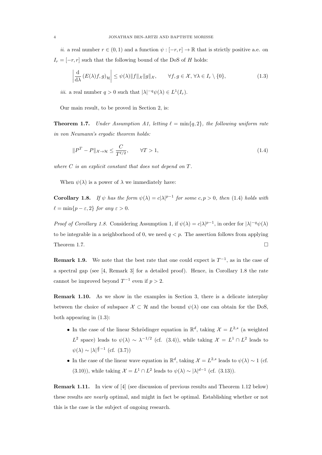*ii*. a real number  $r \in (0,1)$  and a function  $\psi : [-r, r] \to \mathbb{R}$  that is strictly positive a.e. on  $I_r = [-r, r]$  such that the following bound of the DoS of H holds:

$$
\left| \frac{\mathrm{d}}{\mathrm{d}\lambda} \left( E(\lambda)f, g \right)_{\mathcal{H}} \right| \leq \psi(\lambda) \| f \|_{\mathcal{X}} \| g \|_{\mathcal{X}}, \qquad \forall f, g \in \mathcal{X}, \forall \lambda \in I_r \setminus \{0\}, \tag{1.3}
$$

*iii*. a real number  $q > 0$  such that  $|\lambda|^{-q} \psi(\lambda) \in L^1(I_r)$ .

Our main result, to be proved in Section 2, is:

**Theorem 1.7.** *Under Assumption A1, letting*  $\ell = \min\{q, 2\}$ *, the following uniform rate in von Neumann's ergodic theorem holds:*

$$
||PT - P||_{\mathcal{X} \to \mathcal{H}} \le \frac{C}{T^{\ell/2}}, \qquad \forall T > 1,
$$
\n(1.4)

*where* C *is an explicit constant that does not depend on* T*.*

When  $\psi(\lambda)$  is a power of  $\lambda$  we immediately have:

**Corollary 1.8.** *If*  $\psi$  *has the form*  $\psi(\lambda) = c|\lambda|^{p-1}$  *for some*  $c, p > 0$ *, then* (1.4) *holds with*  $\ell = \min\{p - \varepsilon, 2\}$  *for any*  $\varepsilon > 0$ *.* 

*Proof of Corollary 1.8.* Considering Assumption 1, if  $\psi(\lambda) = c|\lambda|^{p-1}$ , in order for  $|\lambda|^{-q}\psi(\lambda)$ to be integrable in a neighborhood of 0, we need  $q < p$ . The assertion follows from applying Theorem 1.7.  $\Box$ 

**Remark 1.9.** We note that the best rate that one could expect is  $T^{-1}$ , as in the case of a spectral gap (see [4, Remark 3] for a detailed proof). Hence, in Corollary 1.8 the rate cannot be improved beyond  $T^{-1}$  even if  $p > 2$ .

Remark 1.10. As we show in the examples in Section 3, there is a delicate interplay between the choice of subspace  $\mathcal{X} \subset \mathcal{H}$  and the bound  $\psi(\lambda)$  one can obtain for the DoS, both appearing in (1.3):

- In the case of the linear Schrödinger equation in  $\mathbb{R}^d$ , taking  $\mathcal{X} = L^{2,s}$  (a weighted L<sup>2</sup> space) leads to  $\psi(\lambda) \sim \lambda^{-1/2}$  (cf. (3.4)), while taking  $\mathcal{X} = L^1 \cap L^2$  leads to  $\psi(\lambda) \sim |\lambda|^{\frac{d}{2}-1}$  (cf. (3.7))
- In the case of the linear wave equation in  $\mathbb{R}^d$ , taking  $\mathcal{X} = L^{2,s}$  leads to  $\psi(\lambda) \sim 1$  (cf. (3.10)), while taking  $\mathcal{X} = L^1 \cap L^2$  leads to  $\psi(\lambda) \sim |\lambda|^{d-1}$  (cf. (3.13)).

Remark 1.11. In view of [4] (see discussion of previous results and Theorem 1.12 below) these results are *nearly* optimal, and might in fact be optimal. Establishing whether or not this is the case is the subject of ongoing research.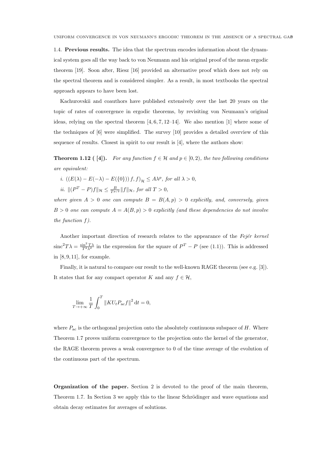1.4. Previous results. The idea that the spectrum encodes information about the dynamical system goes all the way back to von Neumann and his original proof of the mean ergodic theorem [19]. Soon after, Riesz [16] provided an alternative proof which does not rely on the spectral theorem and is considered simpler. As a result, in most textbooks the spectral approach appears to have been lost.

Kachurovskii and coauthors have published extensively over the last 20 years on the topic of rates of convergence in ergodic theorems, by revisiting von Neumann's original ideas, relying on the spectral theorem  $[4, 6, 7, 12-14]$ . We also mention [1] where some of the techniques of [6] were simplified. The survey [10] provides a detailed overview of this sequence of results. Closest in spirit to our result is [4], where the authors show:

**Theorem 1.12** ([4]). For any function  $f \in \mathcal{H}$  and  $p \in [0, 2)$ *, the two following conditions are equivalent:*

- *i.*  $((E(\lambda) E(-\lambda) E({0}))) f, f)_{\mathcal{H}} \leq A\lambda^p$ , for all  $\lambda > 0$ ,
- *ii.*  $||(P^T P)f||_{\mathcal{H}} \leq \frac{B}{T^{p/2}}||f||_{\mathcal{H}}$ , for all  $T > 0$ ,

*where given*  $A > 0$  *one can compute*  $B = B(A, p) > 0$  *explicitly, and, conversely, given*  $B > 0$  *one can compute*  $A = A(B, p) > 0$  *explicitly (and these dependencies do not involve the function* f*).*

Another important direction of research relates to the appearance of the *Fejer kernel*  $\sin^2 T\lambda = \frac{\sin^2 T\lambda}{T^2\lambda^2}$  in the expression for the square of  $P^T - P$  (see (1.1)). This is addressed in [8, 9, 11], for example.

Finally, it is natural to compare our result to the well-known RAGE theorem (see e.g. [3]). It states that for any compact operator K and any  $f \in \mathcal{H}$ ,

$$
\lim_{T \to +\infty} \frac{1}{T} \int_0^T \|K U_t P_{\text{ac}} f\|^2 dt = 0,
$$

where  $P_{ac}$  is the orthogonal projection onto the absolutely continuous subspace of H. Where Theorem 1.7 proves uniform convergence to the projection onto the kernel of the generator, the RAGE theorem proves a weak convergence to 0 of the time average of the evolution of the continuous part of the spectrum.

Organization of the paper. Section 2 is devoted to the proof of the main theorem, Theorem 1.7. In Section 3 we apply this to the linear Schrödinger and wave equations and obtain decay estimates for averages of solutions.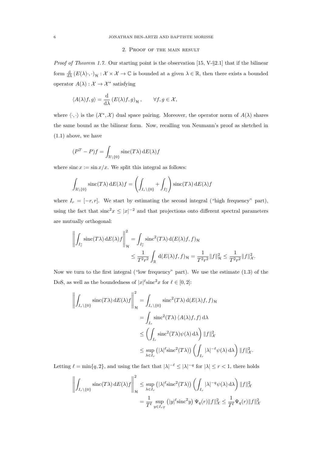#### 2. Proof of the main result

*Proof of Theorem 1.7.* Our starting point is the observation [15, V-§2.1] that if the bilinear form  $\frac{d}{d\lambda} (E(\lambda) \cdot, \cdot)_{\mathcal{H}} : \mathcal{X} \times \mathcal{X} \to \mathbb{C}$  is bounded at a given  $\lambda \in \mathbb{R}$ , then there exists a bounded operator  $A(\lambda): \mathcal{X} \to \mathcal{X}^*$  satisfying

$$
\langle A(\lambda)f, g \rangle = \frac{\mathrm{d}}{\mathrm{d}\lambda} \left( E(\lambda)f, g \right)_{\mathcal{H}}, \qquad \forall f, g \in \mathcal{X},
$$

where  $\langle \cdot, \cdot \rangle$  is the  $(\mathcal{X}^*, \mathcal{X})$  dual space pairing. Moreover, the operator norm of  $A(\lambda)$  shares the same bound as the bilinear form. Now, recalling von Neumann's proof as sketched in (1.1) above, we have

$$
(P^T - P)f = \int_{\mathbb{R}\setminus\{0\}} \operatorname{sinc}(T\lambda) \, \mathrm{d}E(\lambda)f
$$

where  $\sin x := \sin x/x$ . We split this integral as follows:

$$
\int_{\mathbb{R}\setminus\{0\}} \operatorname{sinc}(T\lambda) \, \mathrm{d}E(\lambda) f = \left( \int_{I_r \setminus \{0\}} + \int_{I_r^c} \right) \operatorname{sinc}(T\lambda) \, \mathrm{d}E(\lambda) f
$$

where  $I_r = [-r, r]$ . We start by estimating the second integral ("high frequency" part), using the fact that  $\operatorname{sinc}^2 x \le |x|^{-2}$  and that projections onto different spectral parameters are mutually orthogonal:

$$
\left\| \int_{I_r^c} \operatorname{sinc}(T\lambda) \, dE(\lambda) f \right\|_{\mathcal{H}}^2 = \int_{I_r^c} \operatorname{sinc}^2(T\lambda) \, d(E(\lambda)f, f)_{\mathcal{H}} \leq \frac{1}{T^2 r^2} \int_{\mathbb{R}} d(E(\lambda)f, f)_{\mathcal{H}} = \frac{1}{T^2 r^2} \|f\|_{\mathcal{H}}^2 \leq \frac{1}{T^2 r^2} \|f\|_{\mathcal{X}}^2.
$$

Now we turn to the first integral ("low frequency" part). We use the estimate (1.3) of the DoS, as well as the boundedness of  $|x|^{\ell}$ sinc<sup>2</sup>x for  $\ell \in [0,2]$ :

$$
\left\| \int_{I_r \setminus \{0\}} \operatorname{sinc}(T\lambda) \, dE(\lambda) f \right\|_{\mathcal{H}}^2 = \int_{I_r \setminus \{0\}} \operatorname{sinc}^2(T\lambda) \, d(E(\lambda)f, f) \mathcal{H}
$$
  
\n
$$
= \int_{I_r} \operatorname{sinc}^2(T\lambda) \, \langle A(\lambda)f, f \rangle \, d\lambda
$$
  
\n
$$
\leq \left( \int_{I_r} \operatorname{sinc}^2(T\lambda) \psi(\lambda) \, d\lambda \right) \|f\|_{\mathcal{X}}^2
$$
  
\n
$$
\leq \sup_{\lambda \in I_r} (|\lambda|^{\ell} \operatorname{sinc}^2(T\lambda)) \left( \int_{I_r} |\lambda|^{-\ell} \psi(\lambda) \, d\lambda \right) \|f\|_{\mathcal{X}}^2.
$$

Letting  $\ell = \min\{q, 2\}$ , and using the fact that  $|\lambda|^{-\ell} \leq |\lambda|^{-q}$  for  $|\lambda| \leq r < 1$ , there holds

$$
\left\| \int_{I_r \setminus \{0\}} \operatorname{sinc}(T\lambda) \, dE(\lambda) f \right\|_{\mathcal{H}}^2 \le \sup_{\lambda \in I_r} \left( |\lambda|^{\ell} \operatorname{sinc}^2(T\lambda) \right) \left( \int_{I_r} |\lambda|^{-q} \psi(\lambda) \, d\lambda \right) \|f\|_{\mathcal{X}}^2
$$

$$
= \frac{1}{T^{\ell}} \sup_{y \in I_{rT}} \left( |y|^{\ell} \operatorname{sinc}^2 y \right) \Psi_q(r) \|f\|_{\mathcal{X}}^2 \le \frac{1}{T^{\ell}} \Psi_q(r) \|f\|_{\mathcal{X}}^2
$$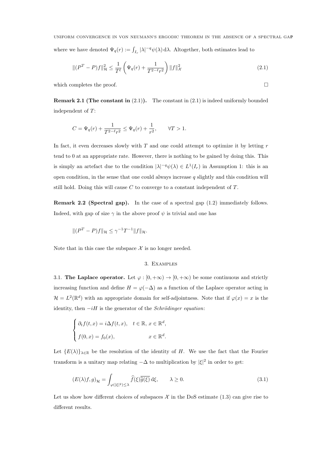$$
\|(P^T - P)f\|_{\mathcal{H}}^2 \le \frac{1}{T^{\ell}} \left(\Psi_q(r) + \frac{1}{T^{2-\ell}r^2}\right) \|f\|_{\mathcal{X}}^2
$$
\n(2.1)

which completes the proof.  $\Box$ 

**Remark 2.1 (The constant in**  $(2.1)$ ). The constant in  $(2.1)$  is indeed uniformly bounded independent of T:

$$
C=\Psi_q(r)+\frac{1}{T^{2-\ell}r^2}\leq \Psi_q(r)+\frac{1}{r^2},\qquad \forall T>1.
$$

In fact, it even decreases slowly with  $T$  and one could attempt to optimize it by letting  $r$ tend to 0 at an appropriate rate. However, there is nothing to be gained by doing this. This is simply an artefact due to the condition  $|\lambda|^{-q}\psi(\lambda) \in L^1(I_r)$  in Assumption 1: this is an open condition, in the sense that one could always increase  $q$  slightly and this condition will still hold. Doing this will cause  $C$  to converge to a constant independent of  $T$ .

Remark 2.2 (Spectral gap). In the case of a spectral gap (1.2) immediately follows. Indeed, with gap of size  $\gamma$  in the above proof  $\psi$  is trivial and one has

$$
\|(P^T - P)f\|_{\mathcal{H}} \le \gamma^{-1}T^{-1}\|f\|_{\mathcal{H}}.
$$

Note that in this case the subspace  $\mathcal X$  is no longer needed.

## 3. Examples

3.1. The Laplace operator. Let  $\varphi : [0, +\infty) \to [0, +\infty)$  be some continuous and strictly increasing function and define  $H = \varphi(-\Delta)$  as a function of the Laplace operator acting in  $\mathcal{H} = L^2(\mathbb{R}^d)$  with an appropriate domain for self-adjointness. Note that if  $\varphi(x) = x$  is the identity, then  $-iH$  is the generator of the *Schrödinger equation*:

$$
\begin{cases} \partial_t f(t,x) = i \Delta f(t,x), & t \in \mathbb{R}, \ x \in \mathbb{R}^d, \\ f(0,x) = f_0(x), & x \in \mathbb{R}^d. \end{cases}
$$

Let  ${E(\lambda)}_{\lambda \in \mathbb{R}}$  be the resolution of the identity of H. We use the fact that the Fourier transform is a unitary map relating  $-\Delta$  to multiplication by  $|\xi|^2$  in order to get:

$$
(E(\lambda)f,g)_{\mathcal{H}} = \int_{\varphi(|\xi|^2) \leq \lambda} \widehat{f}(\xi) \overline{\widehat{g}(\xi)} \, d\xi, \qquad \lambda \geq 0. \tag{3.1}
$$

Let us show how different choices of subspaces  $\mathcal X$  in the DoS estimate (1.3) can give rise to different results.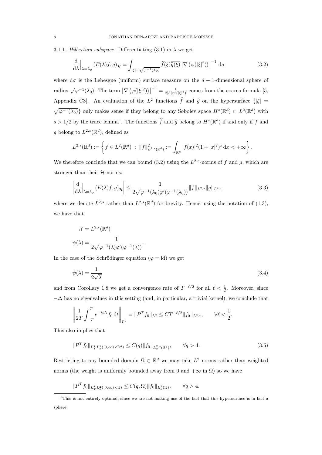3.1.1. *Hilbertian subspace*. Differentiating (3.1) in  $\lambda$  we get

$$
\frac{\mathrm{d}}{\mathrm{d}\lambda}\Big|_{\lambda=\lambda_0} \left( E(\lambda)f, g \right)_{\mathcal{H}} = \int_{|\xi|=\sqrt{\varphi^{-1}(\lambda_0)}} \widehat{f}(\xi) \overline{\widehat{g}(\xi)} \left| \nabla \left( \varphi(|\xi|^2) \right) \right|^{-1} \mathrm{d}\sigma \tag{3.2}
$$

where  $d\sigma$  is the Lebesgue (uniform) surface measure on the  $d-1$ -dimensional sphere of radius  $\sqrt{\varphi^{-1}(\lambda_0)}$ . The term  $\left|\nabla\left(\varphi(|\xi|^2)\right)\right|^{-1} = \frac{1}{2|\xi|\varphi'(|\xi|^2)}$  comes from the coarea formula [5, Appendix C3. An evaluation of the  $L^2$  functions  $\hat{f}$  and  $\hat{g}$  on the hypersurface  $\{|\xi| =$  $\sqrt{\varphi^{-1}(\lambda_0)}\}$  only makes sense if they belong to any Sobolev space  $H^s(\mathbb{R}^d) \subset L^2(\mathbb{R}^d)$  with  $s > 1/2$  by the trace lemma<sup>1</sup>. The functions  $\widehat{f}$  and  $\widehat{g}$  belong to  $H^s(\mathbb{R}^d)$  if and only if f and g belong to  $L^{2,s}(\mathbb{R}^d)$ , defined as

$$
L^{2,s}(\mathbb{R}^d) := \left\{ f \in L^2(\mathbb{R}^d) \; : \; \|f\|_{L^{2,s}(\mathbb{R}^d)}^2 := \int_{\mathbb{R}^d} |f(x)|^2 (1+|x|^2)^s \, dx < +\infty \right\}.
$$

We therefore conclude that we can bound  $(3.2)$  using the  $L^{2,s}$ -norms of f and g, which are stronger than their  $H$ -norms:

$$
\left| \frac{\mathrm{d}}{\mathrm{d}\lambda} \right|_{\lambda = \lambda_0} \left( E(\lambda)f, g \right)_{\mathcal{H}} \right| \le \frac{1}{2\sqrt{\varphi^{-1}(\lambda_0)}\varphi'(\varphi^{-1}(\lambda_0))} \|f\|_{L^{2,s}} \|g\|_{L^{2,s}},\tag{3.3}
$$

where we denote  $L^{2,s}$  rather than  $L^{2,s}(\mathbb{R}^d)$  for brevity. Hence, using the notation of  $(1.3)$ , we have that

$$
\mathcal{X} = L^{2,s}(\mathbb{R}^d)
$$

$$
\psi(\lambda) = \frac{1}{2\sqrt{\varphi^{-1}(\lambda)}\varphi'(\varphi^{-1}(\lambda))}.
$$

In the case of the Schrödinger equation ( $\varphi = id$ ) we get

$$
\psi(\lambda) = \frac{1}{2\sqrt{\lambda}}\tag{3.4}
$$

and from Corollary 1.8 we get a convergence rate of  $T^{-\ell/2}$  for all  $\ell < \frac{1}{2}$ . Moreover, since  $-\Delta$  has no eigenvalues in this setting (and, in particular, a trivial kernel), we conclude that

$$
\left\| \frac{1}{2T} \int_{-T}^{T} e^{-it\Delta} f_0 dt \right\|_{L^2} = \|P^T f_0\|_{L^2} \leq C T^{-\ell/2} \|f_0\|_{L^{2,s}}, \qquad \forall \ell < \frac{1}{2}.
$$

This also implies that

$$
||P^T f_0||_{L_T^q L_x^2([0,\infty)\times \mathbb{R}^d)} \le C(q) ||f_0||_{L_x^{2,s}(\mathbb{R}^d)}, \qquad \forall q > 4.
$$
\n(3.5)

Restricting to any bounded domain  $\Omega \subset \mathbb{R}^d$  we may take  $L^2$  norms rather than weighted norms (the weight is uniformly bounded away from 0 and  $+\infty$  in  $\Omega$ ) so we have

$$
||P^T f_0||_{L_T^q L_x^2([0,\infty)\times\Omega)} \leq C(q,\Omega) ||f_0||_{L_x^2(\Omega)}, \qquad \forall q>4.
$$

<sup>&</sup>lt;sup>1</sup>This is not entirely optimal, since we are not making use of the fact that this hypersurface is in fact a sphere.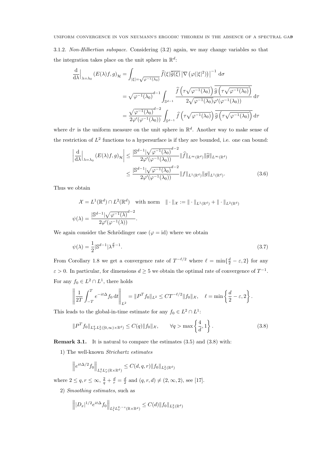3.1.2. *Non-Hilbertian subspace.* Considering (3.2) again, we may change variables so that the integration takes place on the unit sphere in  $\mathbb{R}^d$ :

$$
\frac{\mathrm{d}}{\mathrm{d}\lambda}\Big|_{\lambda=\lambda_0} (E(\lambda)f,g)_{\mathcal{H}} = \int_{|\xi|=\sqrt{\varphi^{-1}(\lambda_0)}} \widehat{f}(\xi)\overline{\widehat{g}(\xi)} \left|\nabla \left(\varphi(|\xi|^2)\right)\right|^{-1} \mathrm{d}\sigma
$$
\n
$$
= \sqrt{\varphi^{-1}(\lambda_0)}^{d-1} \int_{\mathbb{S}^{d-1}} \frac{\widehat{f}\left(\tau\sqrt{\varphi^{-1}(\lambda_0)}\right)}{2\sqrt{\varphi^{-1}(\lambda_0)}\varphi'(\varphi^{-1}(\lambda_0))} \mathrm{d}\tau
$$
\n
$$
= \frac{\sqrt{\varphi^{-1}(\lambda_0)}^{d-2}}{2\varphi'(\varphi^{-1}(\lambda_0))} \int_{\mathbb{S}^{d-1}} \widehat{f}\left(\tau\sqrt{\varphi^{-1}(\lambda_0)}\right) \overline{\widehat{g}\left(\tau\sqrt{\varphi^{-1}(\lambda_0)}\right)} \mathrm{d}\tau
$$

where  $d\tau$  is the uniform measure on the unit sphere in  $\mathbb{R}^d$ . Another way to make sense of the restriction of  $L^2$  functions to a hypersurface is if they are bounded, i.e. one can bound:

$$
\left| \frac{\mathrm{d}}{\mathrm{d}\lambda} \right|_{\lambda = \lambda_0} (E(\lambda)f, g)_{\mathcal{H}} \left| \leq \frac{|\mathbb{S}^{d-1}|\sqrt{\varphi^{-1}(\lambda_0)}^{d-2}}{2\varphi'(\varphi^{-1}(\lambda_0))} \|\widehat{f}\|_{L^{\infty}(\mathbb{R}^d)} \|\widehat{g}\|_{L^{\infty}(\mathbb{R}^d)}
$$

$$
\leq \frac{|\mathbb{S}^{d-1}|\sqrt{\varphi^{-1}(\lambda_0)}^{d-2}}{2\varphi'(\varphi^{-1}(\lambda_0))} \|f\|_{L^1(\mathbb{R}^d)} \|g\|_{L^1(\mathbb{R}^d)}.
$$
(3.6)

Thus we obtain

$$
\mathcal{X} = L^1(\mathbb{R}^d) \cap L^2(\mathbb{R}^d) \quad \text{with norm} \quad || \cdot ||_{\mathcal{X}} := || \cdot ||_{L^1(\mathbb{R}^d)} + || \cdot ||_{L^2(\mathbb{R}^d)}
$$

$$
\psi(\lambda) = \frac{|\mathbb{S}^{d-1}|\sqrt{\varphi^{-1}(\lambda)}^{d-2}}{2\varphi'(\varphi^{-1}(\lambda))}.
$$

We again consider the Schrödinger case ( $\varphi = id$ ) where we obtain

$$
\psi(\lambda) = \frac{1}{2} |\mathbb{S}^{d-1}| \lambda^{\frac{d}{2}-1}.
$$
\n
$$
(3.7)
$$

From Corollary 1.8 we get a convergence rate of  $T^{-\ell/2}$  where  $\ell = \min\{\frac{d}{2} - \varepsilon, 2\}$  for any  $\varepsilon > 0$ . In particular, for dimensions  $d \ge 5$  we obtain the optimal rate of convergence of  $T^{-1}$ . For any  $f_0 \in L^2 \cap L^1$ , there holds

$$
\left\| \frac{1}{2T} \int_{-T}^{T} e^{-it\Delta} f_0 dt \right\|_{L^2} = \|P^T f_0\|_{L^2} \leq C T^{-\ell/2} \|f_0\|_{\mathcal{X}}, \quad \ell = \min\left\{ \frac{d}{2} - \varepsilon, 2 \right\}.
$$

This leads to the global-in-time estimate for any  $f_0 \in L^2 \cap L^1$ :

$$
||P^T f_0||_{L_T^q L_x^2([0,\infty)\times\mathbb{R}^d)} \le C(q) ||f_0||_{\mathcal{X}}, \qquad \forall q > \max\left\{\frac{4}{d}, 1\right\}.
$$
 (3.8)

Remark 3.1. It is natural to compare the estimates (3.5) and (3.8) with:

1) The well-known *Strichartz estimates*

$$
\left\|e^{it\Delta/2}f_0\right\|_{L_t^qL_x^r(\mathbb{R}\times\mathbb{R}^d)}\leq C(d,q,r)\|f_0\|_{L_x^2(\mathbb{R}^d)}
$$

where  $2 \le q, r \le \infty, \frac{2}{q} + \frac{d}{r} = \frac{d}{2}$  and  $(q, r, d) \ne (2, \infty, 2)$ , see [17].

2) *Smoothing estimates*, such as

$$
\left\||D_x|^{1/2}e^{it\Delta} f_0\right\|_{L^2_tL^{2,-s}_x(\mathbb{R}\times\mathbb{R}^d)} \leq C(d)\|f_0\|_{L^2_x(\mathbb{R}^d)}
$$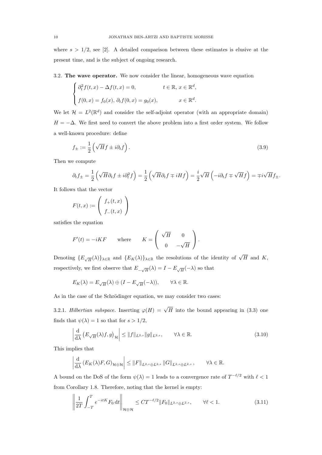where  $s > 1/2$ , see [2]. A detailed comparison between these estimates is elusive at the present time, and is the subject of ongoing research.

3.2. The wave operator. We now consider the linear, homogeneous wave equation

$$
\begin{cases} \partial_t^2 f(t,x) - \Delta f(t,x) = 0, & t \in \mathbb{R}, \ x \in \mathbb{R}^d, \\ f(0,x) = f_0(x), \ \partial_t f(0,x) = g_0(x), & x \in \mathbb{R}^d. \end{cases}
$$

We let  $\mathcal{H} = L^2(\mathbb{R}^d)$  and consider the self-adjoint operator (with an appropriate domain)  $H = -\Delta$ . We first need to convert the above problem into a first order system. We follow a well-known procedure: define

$$
f_{\pm} := \frac{1}{2} \left( \sqrt{H} f \pm i \partial_t f \right). \tag{3.9}
$$

Then we compute

$$
\partial_t f_{\pm} = \frac{1}{2} \left( \sqrt{H} \partial_t f \pm i \partial_t^2 f \right) = \frac{1}{2} \left( \sqrt{H} \partial_t f \mp i H f \right) = \frac{i}{2} \sqrt{H} \left( -i \partial_t f \mp \sqrt{H} f \right) = \mp i \sqrt{H} f_{\pm}.
$$

It follows that the vector

$$
F(t,x) := \left( \begin{array}{c} f_+(t,x) \\ f_-(t,x) \end{array} \right)
$$

satisfies the equation

$$
F'(t) = -iKF \quad \text{where} \quad K = \begin{pmatrix} \sqrt{H} & 0 \\ 0 & -\sqrt{H} \end{pmatrix}.
$$

Denoting  $\{E_{\sqrt{H}}(\lambda)\}_{\lambda\in\mathbb{R}}$  and  $\{E_K(\lambda)\}_{\lambda\in\mathbb{R}}$  the resolutions of the identity of  $\sqrt{H}$  and K, respectively, we first observe that  $E_{-\sqrt{H}}(\lambda) = I - E_{\sqrt{H}}(-\lambda)$  so that

$$
E_K(\lambda) = E_{\sqrt{H}}(\lambda) \oplus (I - E_{\sqrt{H}}(-\lambda)), \qquad \forall \lambda \in \mathbb{R}.
$$

As in the case of the Schrödinger equation, we may consider two cases:

3.2.1. *Hilbertian subspace*. Inserting  $\varphi(H) = \sqrt{H}$  into the bound appearing in (3.3) one finds that  $\psi(\lambda) = 1$  so that for  $s > 1/2$ ,

$$
\left| \frac{\mathrm{d}}{\mathrm{d}\lambda} \left( E_{\sqrt{H}}(\lambda)f, g \right)_{\mathcal{H}} \right| \le \| f \|_{L^{2,s}} \| g \|_{L^{2,s}}, \qquad \forall \lambda \in \mathbb{R}.
$$
\n(3.10)

This implies that

$$
\left|\frac{\mathrm{d}}{\mathrm{d}\lambda}\left(E_K(\lambda)F,G\right)_{\mathcal{H}\oplus\mathcal{H}}\right|\leq\left\|F\right\|_{L^{2,s}\oplus L^{2,s}}\left\|G\right\|_{L^{2,s}\oplus L^{2,s}},\qquad\forall\lambda\in\mathbb{R}.
$$

A bound on the DoS of the form  $\psi(\lambda) = 1$  leads to a convergence rate of  $T^{-\ell/2}$  with  $\ell < 1$ from Corollary 1.8. Therefore, noting that the kernel is empty:

$$
\left\| \frac{1}{2T} \int_{-T}^{T} e^{-itK} F_0 dt \right\|_{\mathcal{H} \oplus \mathcal{H}} \leq C T^{-\ell/2} \|F_0\|_{L^{2,s} \oplus L^{2,s}}, \qquad \forall \ell < 1.
$$
 (3.11)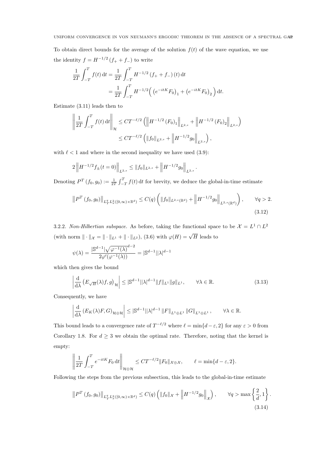To obtain direct bounds for the average of the solution  $f(t)$  of the wave equation, we use the identity  $f = H^{-1/2} (f_+ + f_-)$  to write

$$
\frac{1}{2T} \int_{-T}^{T} f(t) dt = \frac{1}{2T} \int_{-T}^{T} H^{-1/2} (f_{+} + f_{-}) (t) dt
$$

$$
= \frac{1}{2T} \int_{-T}^{T} H^{-1/2} ((e^{-itK} F_{0})_{1} + (e^{-itK} F_{0})_{2}) dt.
$$

Estimate (3.11) leads then to

$$
\left\| \frac{1}{2T} \int_{-T}^{T} f(t) dt \right\|_{\mathcal{H}} \leq C T^{-\ell/2} \left( \left\| H^{-1/2} \left( F_0 \right)_1 \right\|_{L^{2,s}} + \left\| H^{-1/2} \left( F_0 \right)_2 \right\|_{L^{2,s}} \right)
$$
  

$$
\leq C T^{-\ell/2} \left( \left\| f_0 \right\|_{L^{2,s}} + \left\| H^{-1/2} g_0 \right\|_{L^{2,s}} \right),
$$

with  $\ell < 1$  and where in the second inequality we have used (3.9):

$$
2\left\|H^{-1/2}f_{\pm}(t=0)\right\|_{L^{2,s}} \leq \|f_0\|_{L^{2,s}} + \left\|H^{-1/2}g_0\right\|_{L^{2,s}}.
$$

Denoting  $P^T(f_0, g_0) := \frac{1}{2T} \int_{-T}^{T} f(t) dt$  for brevity, we deduce the global-in-time estimate

$$
\left\|P^T\left(f_0,g_0\right)\right\|_{L_T^q L_x^2([0,\infty)\times\mathbb{R}^d)} \le C(q) \left(\|f_0\|_{L^{2,s}(\mathbb{R}^d)} + \left\|H^{-1/2}g_0\right\|_{L^{2,s}(\mathbb{R}^d)}\right), \qquad \forall q > 2.
$$
\n(3.12)

3.2.2. *Non-Hilbertian subspace*. As before, taking the functional space to be  $\mathcal{X} = L^1 \cap L^2$ (with norm  $\|\cdot\|_{\mathcal{X}} = \|\cdot\|_{L^1} + \|\cdot\|_{L^2}$ ), (3.6) with  $\varphi(H) = \sqrt{H}$  leads to

$$
\psi(\lambda) = \frac{|\mathbb{S}^{d-1}|\sqrt{\varphi^{-1}(\lambda)}^{d-2}}{2\varphi'(\varphi^{-1}(\lambda))} = |\mathbb{S}^{d-1}||\lambda|^{d-1}
$$

which then gives the bound

$$
\left| \frac{\mathrm{d}}{\mathrm{d}\lambda} \left( E_{\sqrt{H}}(\lambda)f, g \right)_{\mathcal{H}} \right| \leq |\mathbb{S}^{d-1}| |\lambda|^{d-1} \| f \|_{L^{1}} \| g \|_{L^{1}}, \qquad \forall \lambda \in \mathbb{R}.
$$
 (3.13)

Consequently, we have

$$
\left| \frac{\mathrm{d}}{\mathrm{d}\lambda} \left( E_K(\lambda) F, G \right)_{\mathcal{H} \oplus \mathcal{H}} \right| \leq \left| \mathbb{S}^{d-1} ||\lambda|^{d-1} \left\| F \right\|_{L^1 \oplus L^1} \left\| G \right\|_{L^1 \oplus L^1}, \qquad \forall \lambda \in \mathbb{R}.
$$

This bound leads to a convergence rate of  $T^{-\ell/2}$  where  $\ell = \min\{d - \varepsilon, 2\}$  for any  $\varepsilon > 0$  from Corollary 1.8. For  $d \geq 3$  we obtain the optimal rate. Therefore, noting that the kernel is empty:

$$
\left\| \frac{1}{2T} \int_{-T}^{T} e^{-itK} F_0 dt \right\|_{\mathcal{H} \oplus \mathcal{H}} \leq C T^{-\ell/2} \|F_0\|_{\mathcal{X} \oplus \mathcal{X}}, \qquad \ell = \min\{d - \varepsilon, 2\}.
$$

Following the steps from the previous subsection, this leads to the global-in-time estimate

$$
\|P^T(f_0, g_0)\|_{L^q_T L^2_x([0,\infty)\times\mathbb{R}^d)} \le C(q) \left( \|f_0\|_{\mathcal{X}} + \left\|H^{-1/2}g_0\right\|_{\mathcal{X}} \right), \qquad \forall q > \max\left\{ \frac{2}{d}, 1 \right\}. \tag{3.14}
$$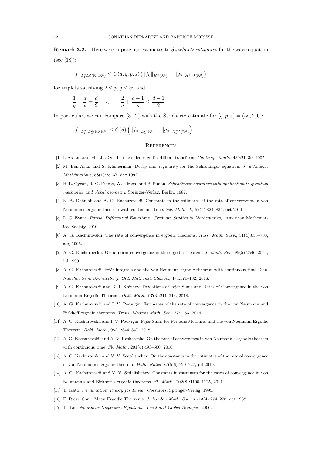Remark 3.2. Here we compare our estimates to *Strichartz estimates* for the wave equation (see [18]):

$$
||f||_{L_t^q L_x^p(\mathbb{R} \times \mathbb{R}^d)} \leq C(d,q,p,s) \left( ||f_0||_{H^s(\mathbb{R}^d)} + ||g_0||_{H^{s-1}(\mathbb{R}^d)} \right)
$$

for triplets satisfying  $2 \leq p, q \leq \infty$  and

$$
\frac{1}{q} + \frac{d}{p} = \frac{d}{2} - s, \qquad \frac{2}{q} + \frac{d-1}{p} \le \frac{d-1}{2}
$$

In particular, we can compare (3.12) with the Strichartz estimate for  $(q, p, s) = (\infty, 2, 0)$ :

.

$$
||f||_{L_t^{\infty} L_x^2(\mathbb{R} \times \mathbb{R}^d)} \leq C(d) \left( ||f_0||_{L_x^2(\mathbb{R}^d)} + ||g_0||_{H_x^{-1}(\mathbb{R}^d)} \right).
$$

#### **REFERENCES**

- [1] I. Assani and M. Lin. On the one-sided ergodic Hilbert transform. Contemp. Math., 430:21–39, 2007.
- [2] M. Ben-Artzi and S. Klainerman. Decay and regularity for the Schrödinger equation. J.  $d'Analyse$ Mathématique, 58(1):25–37, dec 1992.
- [3] H. L. Cycon, R. G. Froese, W. Kirsch, and B. Simon. Schrödinger operators with application to quantum mechanics and global geometry. Springer-Verlag, Berlin, 1987.
- [4] N. A. Dzhulaii and A. G. Kachurovskii. Constants in the estimates of the rate of convergence in von Neumann's ergodic theorem with continuous time. Sib. Math. J., 52(5):824–835, oct 2011.
- [5] L. C. Evans. Partial Differential Equations (Graduate Studies in Mathematics). American Mathematical Society, 2010.
- [6] A. G. Kachurovskii. The rate of convergence in ergodic theorems. Russ. Math. Surv., 51(4):653–703, aug 1996.
- [7] A. G. Kachurovskii. On uniform convergence in the ergodic theorem. J. Math. Sci., 95(5):2546–2551, jul 1999.
- [8] A. G. Kachurovskii. Fejér integrals and the von Neumann ergodic theorem with continuous time. Zap. Nauchn. Sem. S.-Peterburg. Otd. Mat. Inst. Steklov., 474:171–182, 2018.
- [9] A. G. Kachurovskii and K. I. Knizhov. Deviations of Fejer Sums and Rates of Convergence in the von Neumann Ergodic Theorem. Dokl. Math., 97(3):211–214, 2018.
- [10] A. G. Kachurovskii and I. V. Podvigin. Estimates of the rate of convergence in the von Neumann and Birkhoff ergodic theorems. Trans. Moscow Math. Soc., 77:1–53, 2016.
- [11] A. G. Kachurovskii and I. V. Podvigin. Fejér Sums for Periodic Measures and the von Neumann Ergodic Theorem. Dokl. Math., 98(1):344–347, 2018.
- [12] A. G. Kachurovskii and A. V. Reshetenko. On the rate of convergence in von Neumann's ergodic theorem with continuous time. Sb. Math., 201(4):493–500, 2010.
- [13] A. G. Kachurovskii and V. V. Sedalishchev. On the constants in the estimates of the rate of convergence in von Neumann's ergodic theorem. Math. Notes, 87(5-6):720–727, jul 2010.
- [14] A. G. Kachurovskii and V. V. Sedalishchev. Constants in estimates for the rates of convergence in von Neumann's and Birkhoff's ergodic theorems. Sb. Math., 202(8):1105–1125, 2011.
- [15] T. Kato. Perturbation Theory for Linear Operators. Springer-Verlag, 1995.
- [16] F. Riesz. Some Mean Ergodic Theorems. J. London Math. Soc., s1-13(4):274–278, oct 1938.
- [17] T. Tao. Nonlinear Dispersive Equations: Local and Global Analysis. 2006.